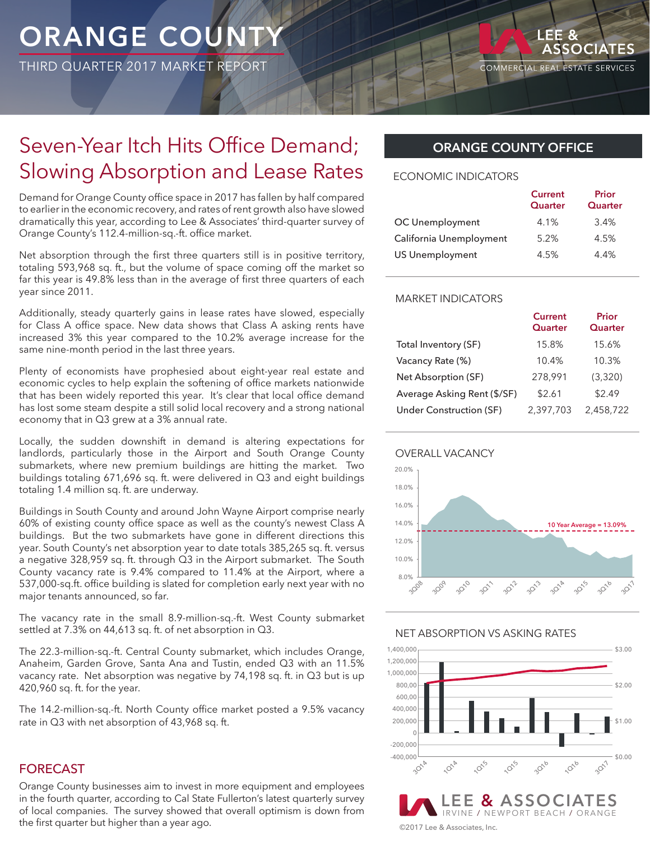# **ORANGE COUNTY**

THIRD QUARTER 2017 MARKET REPORT

LEE &

### Seven-Year Itch Hits Office Demand; Slowing Absorption and Lease Rates

Demand for Orange County office space in 2017 has fallen by half compared to earlier in the economic recovery, and rates of rent growth also have slowed dramatically this year, according to Lee & Associates' third-quarter survey of Orange County's 112.4-million-sq.-ft. office market.

Net absorption through the first three quarters still is in positive territory, totaling 593,968 sq. ft., but the volume of space coming off the market so far this year is 49.8% less than in the average of first three quarters of each year since 2011.

Additionally, steady quarterly gains in lease rates have slowed, especially for Class A office space. New data shows that Class A asking rents have increased 3% this year compared to the 10.2% average increase for the same nine-month period in the last three years.

Plenty of economists have prophesied about eight-year real estate and economic cycles to help explain the softening of office markets nationwide that has been widely reported this year. It's clear that local office demand has lost some steam despite a still solid local recovery and a strong national economy that in Q3 grew at a 3% annual rate.

Locally, the sudden downshift in demand is altering expectations for landlords, particularly those in the Airport and South Orange County submarkets, where new premium buildings are hitting the market. Two buildings totaling 671,696 sq. ft. were delivered in Q3 and eight buildings totaling 1.4 million sq. ft. are underway.

Buildings in South County and around John Wayne Airport comprise nearly 60% of existing county office space as well as the county's newest Class A buildings. But the two submarkets have gone in different directions this year. South County's net absorption year to date totals 385,265 sq. ft. versus a negative 328,959 sq. ft. through Q3 in the Airport submarket. The South County vacancy rate is 9.4% compared to 11.4% at the Airport, where a 537,000-sq.ft. office building is slated for completion early next year with no major tenants announced, so far.

The vacancy rate in the small 8.9-million-sq.-ft. West County submarket settled at 7.3% on 44,613 sq. ft. of net absorption in Q3.

The 22.3-million-sq.-ft. Central County submarket, which includes Orange, Anaheim, Garden Grove, Santa Ana and Tustin, ended Q3 with an 11.5% vacancy rate. Net absorption was negative by 74,198 sq. ft. in Q3 but is up 420,960 sq. ft. for the year.

The 14.2-million-sq.-ft. North County office market posted a 9.5% vacancy rate in Q3 with net absorption of 43,968 sq. ft.

#### FORECAST

Orange County businesses aim to invest in more equipment and employees in the fourth quarter, according to Cal State Fullerton's latest quarterly survey of local companies. The survey showed that overall optimism is down from the first quarter but higher than a year ago.

#### **ORANGE COUNTY OFFICE**

#### ECONOMIC INDICATORS

|                         | <b>Current</b><br>Quarter | Prior<br>Quarter |
|-------------------------|---------------------------|------------------|
| OC Unemployment         | 4.1%                      | 3.4%             |
| California Unemployment | 5.2%                      | 4.5%             |
| <b>US Unemployment</b>  | 4.5%                      | 4.4%             |

#### MARKET INDICATORS

|                             | <b>Current</b><br>Quarter | Prior<br>Quarter |
|-----------------------------|---------------------------|------------------|
| Total Inventory (SF)        | 15.8%                     | 15.6%            |
| Vacancy Rate (%)            | 10.4%                     | 10.3%            |
| Net Absorption (SF)         | 278,991                   | (3.320)          |
| Average Asking Rent (\$/SF) | \$2.61                    | \$2.49           |
| Under Construction (SF)     | 2,397,703                 | 2.458.722        |





#### NET ABSORPTION VS ASKING RATES